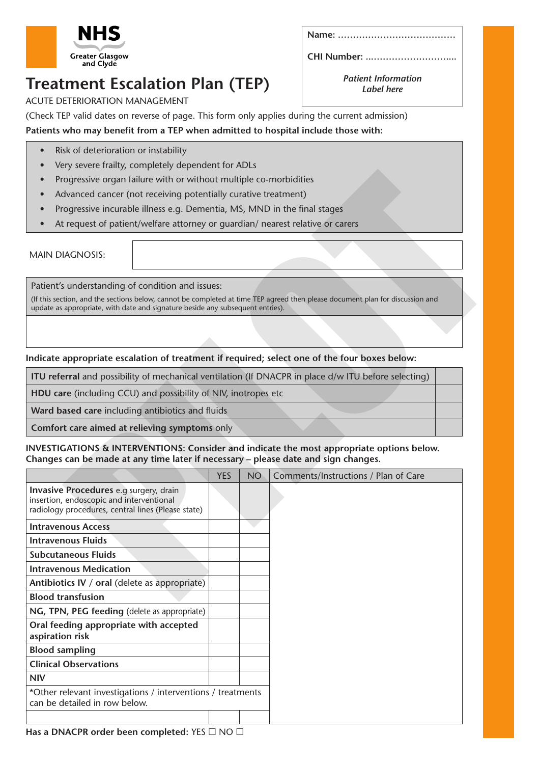

**CHI Number: ...……………………....**

## **Treatment Escalation Plan (TEP)**

ACUTE DETERIORATION MANAGEMENT

*Patient Information Label here*

(Check TEP valid dates on reverse of page. This form only applies during the current admission) **Patients who may benefit from a TEP when admitted to hospital include those with:**

### • Risk of deterioration or instability

- Very severe frailty, completely dependent for ADLs
- Progressive organ failure with or without multiple co-morbidities
- Advanced cancer (not receiving potentially curative treatment)
- Progressive incurable illness e.g. Dementia, MS, MND in the final stages
- At request of patient/welfare attorney or quardian/ nearest relative or carers

#### **INVESTIGATIONS & INTERVENTIONS: Consider and indicate the most appropriate options below. Changes can be made at any time later if necessary – please date and sign changes.**

| Progressive organ failure with or without multiple co-morbidities                                                                               |  |            |           |                                                                                                                                                                                                                         |  |  |
|-------------------------------------------------------------------------------------------------------------------------------------------------|--|------------|-----------|-------------------------------------------------------------------------------------------------------------------------------------------------------------------------------------------------------------------------|--|--|
| Advanced cancer (not receiving potentially curative treatment)                                                                                  |  |            |           |                                                                                                                                                                                                                         |  |  |
| Progressive incurable illness e.g. Dementia, MS, MND in the final stages                                                                        |  |            |           |                                                                                                                                                                                                                         |  |  |
| At request of patient/welfare attorney or quardian/ nearest relative or carers                                                                  |  |            |           |                                                                                                                                                                                                                         |  |  |
|                                                                                                                                                 |  |            |           |                                                                                                                                                                                                                         |  |  |
| <b>MAIN DIAGNOSIS:</b>                                                                                                                          |  |            |           |                                                                                                                                                                                                                         |  |  |
|                                                                                                                                                 |  |            |           |                                                                                                                                                                                                                         |  |  |
| Patient's understanding of condition and issues:                                                                                                |  |            |           |                                                                                                                                                                                                                         |  |  |
|                                                                                                                                                 |  |            |           | (If this section, and the sections below, cannot be completed at time TEP agreed then please document plan for discussion and                                                                                           |  |  |
| update as appropriate, with date and signature beside any subsequent entries).                                                                  |  |            |           |                                                                                                                                                                                                                         |  |  |
|                                                                                                                                                 |  |            |           |                                                                                                                                                                                                                         |  |  |
|                                                                                                                                                 |  |            |           |                                                                                                                                                                                                                         |  |  |
| Indicate appropriate escalation of treatment if required; select one of the four boxes below:                                                   |  |            |           |                                                                                                                                                                                                                         |  |  |
| ITU referral and possibility of mechanical ventilation (If DNACPR in place d/w ITU before selecting)                                            |  |            |           |                                                                                                                                                                                                                         |  |  |
| HDU care (including CCU) and possibility of NIV, inotropes etc                                                                                  |  |            |           |                                                                                                                                                                                                                         |  |  |
| Ward based care including antibiotics and fluids                                                                                                |  |            |           |                                                                                                                                                                                                                         |  |  |
| Comfort care aimed at relieving symptoms only                                                                                                   |  |            |           |                                                                                                                                                                                                                         |  |  |
|                                                                                                                                                 |  | <b>YES</b> | <b>NO</b> | INVESTIGATIONS & INTERVENTIONS: Consider and indicate the most appropriate options below.<br>Changes can be made at any time later if necessary - please date and sign changes.<br>Comments/Instructions / Plan of Care |  |  |
| <b>Invasive Procedures</b> e.g surgery, drain<br>insertion, endoscopic and interventional<br>radiology procedures, central lines (Please state) |  |            |           |                                                                                                                                                                                                                         |  |  |
|                                                                                                                                                 |  |            |           |                                                                                                                                                                                                                         |  |  |
| <b>Intravenous Access</b>                                                                                                                       |  |            |           |                                                                                                                                                                                                                         |  |  |
| <b>Intravenous Fluids</b><br><b>Subcutaneous Fluids</b>                                                                                         |  |            |           |                                                                                                                                                                                                                         |  |  |
| <b>Intravenous Medication</b>                                                                                                                   |  |            |           |                                                                                                                                                                                                                         |  |  |
| Antibiotics IV / oral (delete as appropriate)                                                                                                   |  |            |           |                                                                                                                                                                                                                         |  |  |
| <b>Blood transfusion</b>                                                                                                                        |  |            |           |                                                                                                                                                                                                                         |  |  |
| NG, TPN, PEG feeding (delete as appropriate)                                                                                                    |  |            |           |                                                                                                                                                                                                                         |  |  |
|                                                                                                                                                 |  |            |           |                                                                                                                                                                                                                         |  |  |
| Oral feeding appropriate with accepted                                                                                                          |  |            |           |                                                                                                                                                                                                                         |  |  |
| aspiration risk                                                                                                                                 |  |            |           |                                                                                                                                                                                                                         |  |  |
| <b>Blood sampling</b><br><b>Clinical Observations</b>                                                                                           |  |            |           |                                                                                                                                                                                                                         |  |  |
| <b>NIV</b>                                                                                                                                      |  |            |           |                                                                                                                                                                                                                         |  |  |
| *Other relevant investigations / interventions / treatments<br>can be detailed in row below.                                                    |  |            |           |                                                                                                                                                                                                                         |  |  |

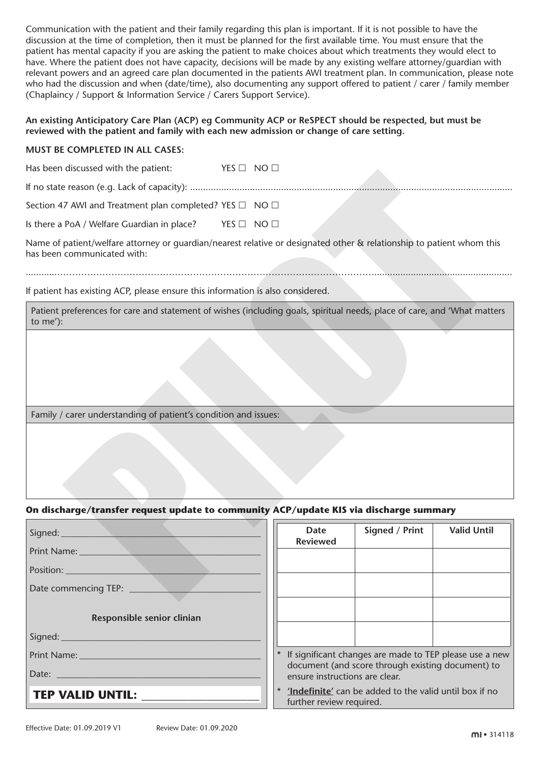Communication with the patient and their family regarding this plan is important. If it is not possible to have the discussion at the time of completion, then it must be planned for the first available time. You must ensure that the patient has mental capacity if you are asking the patient to make choices about which treatments they would elect to have. Where the patient does not have capacity, decisions will be made by any existing welfare attorney/guardian with relevant powers and an agreed care plan documented in the patients AWI treatment plan. In communication, please note who had the discussion and when (date/time), also documenting any support offered to patient / carer / family member (Chaplaincy / Support & Information Service / Carers Support Service).

#### **An existing Anticipatory Care Plan (ACP) eg Community ACP or ReSPECT should be respected, but must be reviewed with the patient and family with each new admission or change of care setting.**

#### **MUST BE COMPLETED IN ALL CASES:**

Has been discussed with the patient:  $YES \Box NO \Box$ 

#### **On discharge/transfer request update to community ACP/update KIS via discharge summary**

| Thus been discussed with the patient.                                                                             |                                                                                                                          |  |  |
|-------------------------------------------------------------------------------------------------------------------|--------------------------------------------------------------------------------------------------------------------------|--|--|
|                                                                                                                   |                                                                                                                          |  |  |
| Section 47 AWI and Treatment plan completed? YES □ NO □                                                           |                                                                                                                          |  |  |
| Is there a PoA / Welfare Guardian in place? YES $\Box$ NO $\Box$                                                  |                                                                                                                          |  |  |
| has been communicated with:                                                                                       | Name of patient/welfare attorney or guardian/nearest relative or designated other & relationship to patient whom this    |  |  |
| If patient has existing ACP, please ensure this information is also considered.                                   |                                                                                                                          |  |  |
| to me'):                                                                                                          | Patient preferences for care and statement of wishes (including goals, spiritual needs, place of care, and 'What matters |  |  |
|                                                                                                                   |                                                                                                                          |  |  |
| Family / carer understanding of patient's condition and issues:                                                   |                                                                                                                          |  |  |
|                                                                                                                   |                                                                                                                          |  |  |
| On discharge/transfer request update to community ACP/update KIS via discharge summary                            |                                                                                                                          |  |  |
|                                                                                                                   | Signed / Print<br><b>Valid Until</b><br><b>Date</b><br><b>Reviewed</b>                                                   |  |  |
| Print Name: 1997                                                                                                  |                                                                                                                          |  |  |
| Position:                                                                                                         |                                                                                                                          |  |  |
|                                                                                                                   |                                                                                                                          |  |  |
| Responsible senior clinian                                                                                        |                                                                                                                          |  |  |
|                                                                                                                   |                                                                                                                          |  |  |
|                                                                                                                   | If significant changes are made to TEP please use a new                                                                  |  |  |
|                                                                                                                   | document (and score through existing document) to<br>ensure instructions are clear.                                      |  |  |
| * 'Indefinite' can be added to the valid until box if no<br>TEP VALID UNTIL: ________<br>further review required. |                                                                                                                          |  |  |